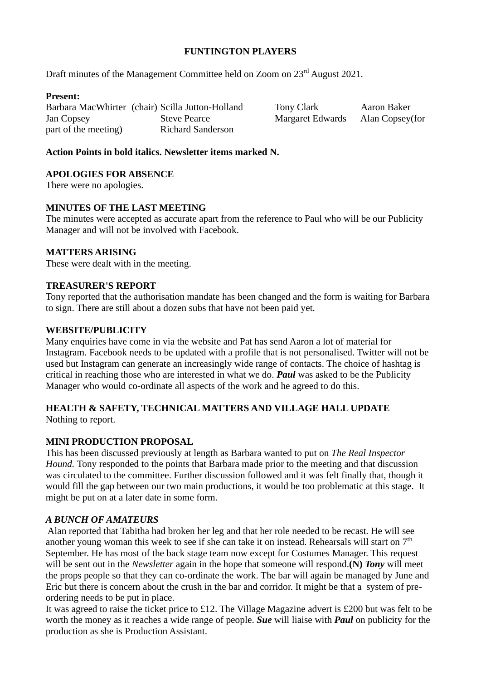# **FUNTINGTON PLAYERS**

Draft minutes of the Management Committee held on Zoom on  $23<sup>rd</sup>$  August 2021.

# **Present:**

Barbara MacWhirter (chair) Scilla Jutton-Holland Tony Clark Aaron Baker Jan Copsey Steve Pearce Margaret Edwards Alan Copsey(for part of the meeting) Richard Sanderson

# **Action Points in bold italics. Newsletter items marked N.**

# **APOLOGIES FOR ABSENCE**

There were no apologies.

# **MINUTES OF THE LAST MEETING**

The minutes were accepted as accurate apart from the reference to Paul who will be our Publicity Manager and will not be involved with Facebook.

# **MATTERS ARISING**

These were dealt with in the meeting.

# **TREASURER'S REPORT**

Tony reported that the authorisation mandate has been changed and the form is waiting for Barbara to sign. There are still about a dozen subs that have not been paid yet.

# **WEBSITE/PUBLICITY**

Many enquiries have come in via the website and Pat has send Aaron a lot of material for Instagram. Facebook needs to be updated with a profile that is not personalised. Twitter will not be used but Instagram can generate an increasingly wide range of contacts. The choice of hashtag is critical in reaching those who are interested in what we do. *Paul* was asked to be the Publicity Manager who would co-ordinate all aspects of the work and he agreed to do this.

# **HEALTH & SAFETY, TECHNICAL MATTERS AND VILLAGE HALL UPDATE**

Nothing to report.

# **MINI PRODUCTION PROPOSAL**

This has been discussed previously at length as Barbara wanted to put on *The Real Inspector Hound.* Tony responded to the points that Barbara made prior to the meeting and that discussion was circulated to the committee. Further discussion followed and it was felt finally that, though it would fill the gap between our two main productions, it would be too problematic at this stage. It might be put on at a later date in some form.

# *A BUNCH OF AMATEURS*

Alan reported that Tabitha had broken her leg and that her role needed to be recast. He will see another young woman this week to see if she can take it on instead. Rehearsals will start on 7<sup>th</sup> September. He has most of the back stage team now except for Costumes Manager. This request will be sent out in the *Newsletter* again in the hope that someone will respond.**(N)** *Tony* will meet the props people so that they can co-ordinate the work. The bar will again be managed by June and Eric but there is concern about the crush in the bar and corridor. It might be that a system of preordering needs to be put in place.

It was agreed to raise the ticket price to £12. The Village Magazine advert is £200 but was felt to be worth the money as it reaches a wide range of people. *Sue* will liaise with *Paul* on publicity for the production as she is Production Assistant.